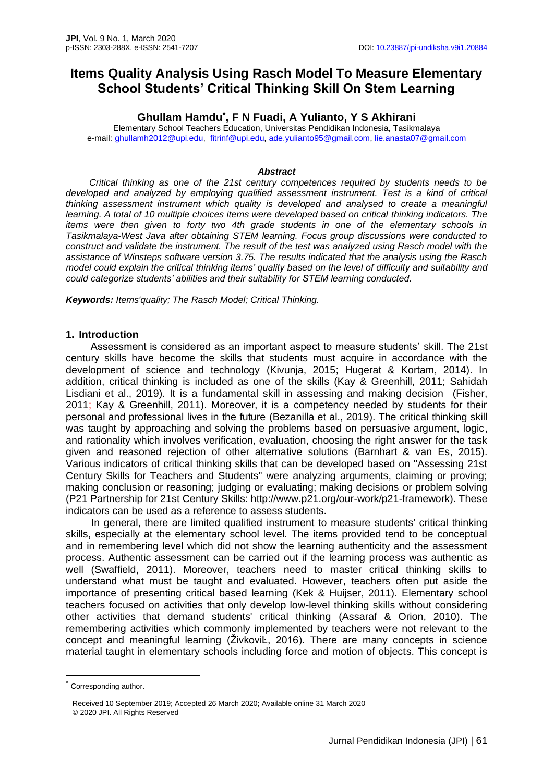# **Items Quality Analysis Using Rasch Model To Measure Elementary School Students' Critical Thinking Skill On Stem Learning**

**Ghullam Hamdu\* , F N Fuadi, A Yulianto, Y S Akhirani**

Elementary School Teachers Education, Universitas Pendidikan Indonesia, Tasikmalaya e-mail: [ghullamh2012@upi.edu,](mailto:ghullamh2012@upi.edu) [fitrinf@upi.edu,](mailto:fitrinf@upi.edu) [ade.yulianto95@gmail.com,](mailto:ade.yulianto95@gmail.com) [lie.anasta07@gmail.com](mailto:lie.anasta07@gmail.com)

#### *Abstract*

*Critical thinking as one of the 21st century competences required by students needs to be developed and analyzed by employing qualified assessment instrument. Test is a kind of critical thinking assessment instrument which quality is developed and analysed to create a meaningful*  learning. A total of 10 multiple choices items were developed based on critical thinking indicators. The *items were then given to forty two 4th grade students in one of the elementary schools in Tasikmalaya-West Java after obtaining STEM learning. Focus group discussions were conducted to construct and validate the instrument. The result of the test was analyzed using Rasch model with the assistance of Winsteps software version 3.75. The results indicated that the analysis using the Rasch model could explain the critical thinking items' quality based on the level of difficulty and suitability and could categorize students' abilities and their suitability for STEM learning conducted.*

*Keywords: Items'quality; The Rasch Model; Critical Thinking.*

#### **1. Introduction**

Assessment is considered as an important aspect to measure students' skill. The 21st century skills have become the skills that students must acquire in accordance with the development of science and technology (Kivunja, 2015; Hugerat & Kortam, 2014). In addition, critical thinking is included as one of the skills (Kay & Greenhill, 2011; Sahidah Lisdiani et al., 2019). It is a fundamental skill in assessing and making decision (Fisher, 2011; Kay & Greenhill, 2011). Moreover, it is a competency needed by students for their personal and professional lives in the future (Bezanilla et al., 2019). The critical thinking skill was taught by approaching and solving the problems based on persuasive argument, logic, and rationality which involves verification, evaluation, choosing the right answer for the task given and reasoned rejection of other alternative solutions (Barnhart & van Es, 2015). Various indicators of critical thinking skills that can be developed based on "Assessing 21st Century Skills for Teachers and Students" were analyzing arguments, claiming or proving; making conclusion or reasoning; judging or evaluating; making decisions or problem solving (P21 Partnership for 21st Century Skills: http://www.p21.org/our-work/p21-framework). These indicators can be used as a reference to assess students.

In general, there are limited qualified instrument to measure students' critical thinking skills, especially at the elementary school level. The items provided tend to be conceptual and in remembering level which did not show the learning authenticity and the assessment process. Authentic assessment can be carried out if the learning process was authentic as well (Swaffield, 2011). Moreover, teachers need to master critical thinking skills to understand what must be taught and evaluated. However, teachers often put aside the importance of presenting critical based learning (Kek & Huijser, 2011). Elementary school teachers focused on activities that only develop low-level thinking skills without considering other activities that demand students' critical thinking (Assaraf & Orion, 2010). The remembering activities which commonly implemented by teachers were not relevant to the concept and meaningful learning (ŽivkoviĿ, 2016). There are many concepts in science material taught in elementary schools including force and motion of objects. This concept is

Corresponding author.

Received 10 September 2019; Accepted 26 March 2020; Available online 31 March 2020 © 2020 JPI. All Rights Reserved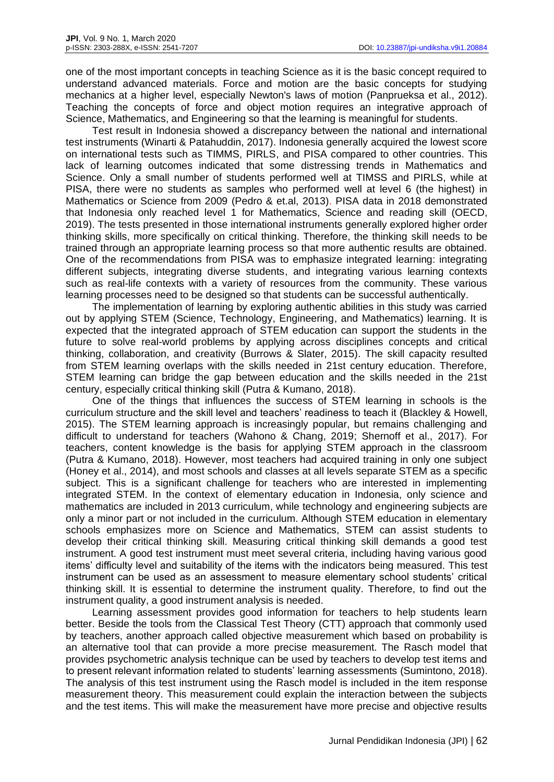one of the most important concepts in teaching Science as it is the basic concept required to understand advanced materials. Force and motion are the basic concepts for studying mechanics at a higher level, especially Newton's laws of motion (Panprueksa et al., 2012). Teaching the concepts of force and object motion requires an integrative approach of Science, Mathematics, and Engineering so that the learning is meaningful for students.

Test result in Indonesia showed a discrepancy between the national and international test instruments (Winarti & Patahuddin, 2017). Indonesia generally acquired the lowest score on international tests such as TIMMS, PIRLS, and PISA compared to other countries. This lack of learning outcomes indicated that some distressing trends in Mathematics and Science. Only a small number of students performed well at TIMSS and PIRLS, while at PISA, there were no students as samples who performed well at level 6 (the highest) in Mathematics or Science from 2009 (Pedro & et.al, 2013). PISA data in 2018 demonstrated that Indonesia only reached level 1 for Mathematics, Science and reading skill (OECD, 2019). The tests presented in those international instruments generally explored higher order thinking skills, more specifically on critical thinking. Therefore, the thinking skill needs to be trained through an appropriate learning process so that more authentic results are obtained. One of the recommendations from PISA was to emphasize integrated learning: integrating different subjects, integrating diverse students, and integrating various learning contexts such as real-life contexts with a variety of resources from the community. These various learning processes need to be designed so that students can be successful authentically.

The implementation of learning by exploring authentic abilities in this study was carried out by applying STEM (Science, Technology, Engineering, and Mathematics) learning. It is expected that the integrated approach of STEM education can support the students in the future to solve real-world problems by applying across disciplines concepts and critical thinking, collaboration, and creativity (Burrows & Slater, 2015). The skill capacity resulted from STEM learning overlaps with the skills needed in 21st century education. Therefore, STEM learning can bridge the gap between education and the skills needed in the 21st century, especially critical thinking skill (Putra & Kumano, 2018).

One of the things that influences the success of STEM learning in schools is the curriculum structure and the skill level and teachers' readiness to teach it (Blackley & Howell, 2015). The STEM learning approach is increasingly popular, but remains challenging and difficult to understand for teachers (Wahono & Chang, 2019; Shernoff et al., 2017). For teachers, content knowledge is the basis for applying STEM approach in the classroom (Putra & Kumano, 2018). However, most teachers had acquired training in only one subject (Honey et al., 2014), and most schools and classes at all levels separate STEM as a specific subject. This is a significant challenge for teachers who are interested in implementing integrated STEM. In the context of elementary education in Indonesia, only science and mathematics are included in 2013 curriculum, while technology and engineering subjects are only a minor part or not included in the curriculum. Although STEM education in elementary schools emphasizes more on Science and Mathematics, STEM can assist students to develop their critical thinking skill. Measuring critical thinking skill demands a good test instrument. A good test instrument must meet several criteria, including having various good items' difficulty level and suitability of the items with the indicators being measured. This test instrument can be used as an assessment to measure elementary school students' critical thinking skill. It is essential to determine the instrument quality. Therefore, to find out the instrument quality, a good instrument analysis is needed.

Learning assessment provides good information for teachers to help students learn better. Beside the tools from the Classical Test Theory (CTT) approach that commonly used by teachers, another approach called objective measurement which based on probability is an alternative tool that can provide a more precise measurement. The Rasch model that provides psychometric analysis technique can be used by teachers to develop test items and to present relevant information related to students' learning assessments (Sumintono, 2018). The analysis of this test instrument using the Rasch model is included in the item response measurement theory. This measurement could explain the interaction between the subjects and the test items. This will make the measurement have more precise and objective results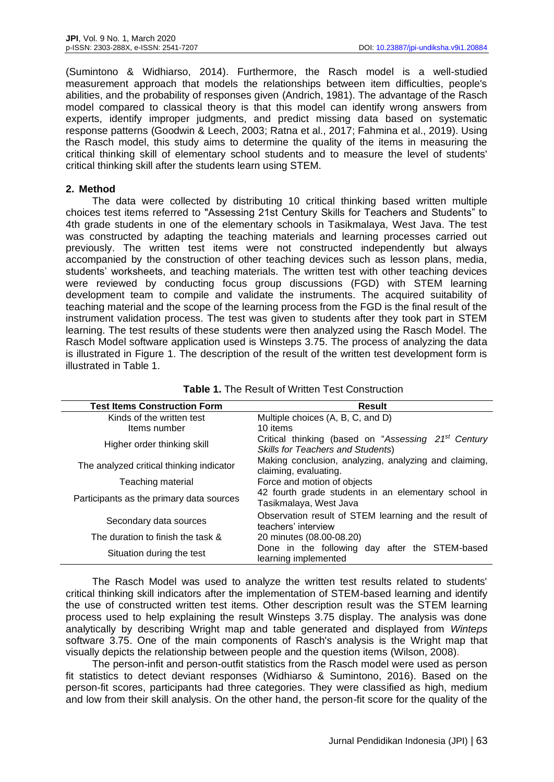(Sumintono & Widhiarso, 2014). Furthermore, the Rasch model is a well-studied measurement approach that models the relationships between item difficulties, people's abilities, and the probability of responses given (Andrich, 1981). The advantage of the Rasch model compared to classical theory is that this model can identify wrong answers from experts, identify improper judgments, and predict missing data based on systematic response patterns (Goodwin & Leech, 2003; Ratna et al., 2017; Fahmina et al., 2019). Using the Rasch model, this study aims to determine the quality of the items in measuring the critical thinking skill of elementary school students and to measure the level of students' critical thinking skill after the students learn using STEM.

## **2. Method**

The data were collected by distributing 10 critical thinking based written multiple choices test items referred to "Assessing 21st Century Skills for Teachers and Students" to 4th grade students in one of the elementary schools in Tasikmalaya, West Java. The test was constructed by adapting the teaching materials and learning processes carried out previously. The written test items were not constructed independently but always accompanied by the construction of other teaching devices such as lesson plans, media, students' worksheets, and teaching materials. The written test with other teaching devices were reviewed by conducting focus group discussions (FGD) with STEM learning development team to compile and validate the instruments. The acquired suitability of teaching material and the scope of the learning process from the FGD is the final result of the instrument validation process. The test was given to students after they took part in STEM learning. The test results of these students were then analyzed using the Rasch Model. The Rasch Model software application used is Winsteps 3.75. The process of analyzing the data is illustrated in Figure 1. The description of the result of the written test development form is illustrated in Table 1.

| <b>Test Items Construction Form</b>      | <b>Result</b>                                                                                               |
|------------------------------------------|-------------------------------------------------------------------------------------------------------------|
| Kinds of the written test                | Multiple choices (A, B, C, and D)                                                                           |
| Items number                             | 10 items                                                                                                    |
| Higher order thinking skill              | Critical thinking (based on "Assessing 21 <sup>st</sup> Century<br><b>Skills for Teachers and Students)</b> |
| The analyzed critical thinking indicator | Making conclusion, analyzing, analyzing and claiming,<br>claiming, evaluating.                              |
| Teaching material                        | Force and motion of objects                                                                                 |
| Participants as the primary data sources | 42 fourth grade students in an elementary school in<br>Tasikmalaya, West Java                               |
| Secondary data sources                   | Observation result of STEM learning and the result of<br>teachers' interview                                |
| The duration to finish the task &        | 20 minutes (08.00-08.20)                                                                                    |
| Situation during the test                | Done in the following day after the STEM-based<br>learning implemented                                      |

| <b>Table 1.</b> The Result of Written Test Construction |  |
|---------------------------------------------------------|--|
|---------------------------------------------------------|--|

The Rasch Model was used to analyze the written test results related to students' critical thinking skill indicators after the implementation of STEM-based learning and identify the use of constructed written test items. Other description result was the STEM learning process used to help explaining the result Winsteps 3.75 display. The analysis was done analytically by describing Wright map and table generated and displayed from *Winteps* software 3.75. One of the main components of Rasch's analysis is the Wright map that visually depicts the relationship between people and the question items (Wilson, 2008).

The person-infit and person-outfit statistics from the Rasch model were used as person fit statistics to detect deviant responses (Widhiarso & Sumintono, 2016). Based on the person-fit scores, participants had three categories. They were classified as high, medium and low from their skill analysis. On the other hand, the person-fit score for the quality of the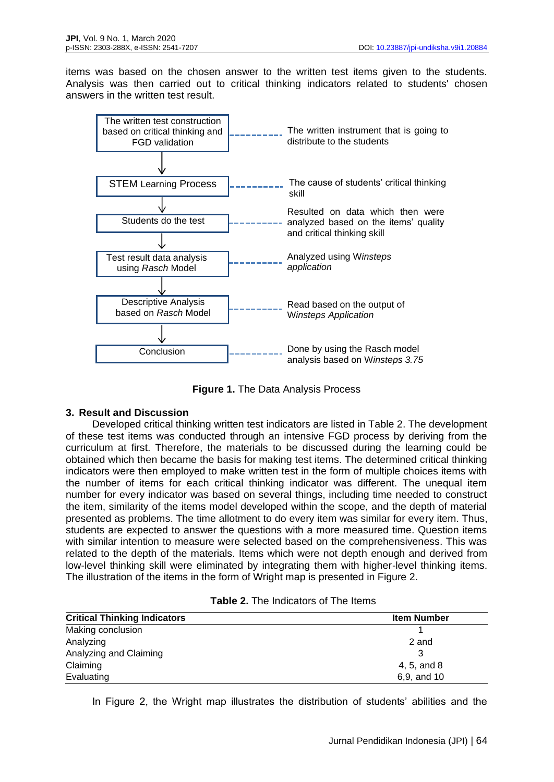items was based on the chosen answer to the written test items given to the students. Analysis was then carried out to critical thinking indicators related to students' chosen answers in the written test result.



**Figure 1.** The Data Analysis Process

# **3. Result and Discussion**

Developed critical thinking written test indicators are listed in Table 2. The development of these test items was conducted through an intensive FGD process by deriving from the curriculum at first. Therefore, the materials to be discussed during the learning could be obtained which then became the basis for making test items. The determined critical thinking indicators were then employed to make written test in the form of multiple choices items with the number of items for each critical thinking indicator was different. The unequal item number for every indicator was based on several things, including time needed to construct the item, similarity of the items model developed within the scope, and the depth of material presented as problems. The time allotment to do every item was similar for every item. Thus, students are expected to answer the questions with a more measured time. Question items with similar intention to measure were selected based on the comprehensiveness. This was related to the depth of the materials. Items which were not depth enough and derived from low-level thinking skill were eliminated by integrating them with higher-level thinking items. The illustration of the items in the form of Wright map is presented in Figure 2.

| <b>Critical Thinking Indicators</b> | <b>Item Number</b> |
|-------------------------------------|--------------------|
| Making conclusion                   |                    |
| Analyzing                           | 2 and              |
| Analyzing and Claiming              |                    |
| Claiming                            | 4, 5, and 8        |
| Evaluating                          | 6,9, and 10        |

| <b>Table 2.</b> The Indicators of The Items |  |  |  |  |  |
|---------------------------------------------|--|--|--|--|--|
|---------------------------------------------|--|--|--|--|--|

In Figure 2, the Wright map illustrates the distribution of students' abilities and the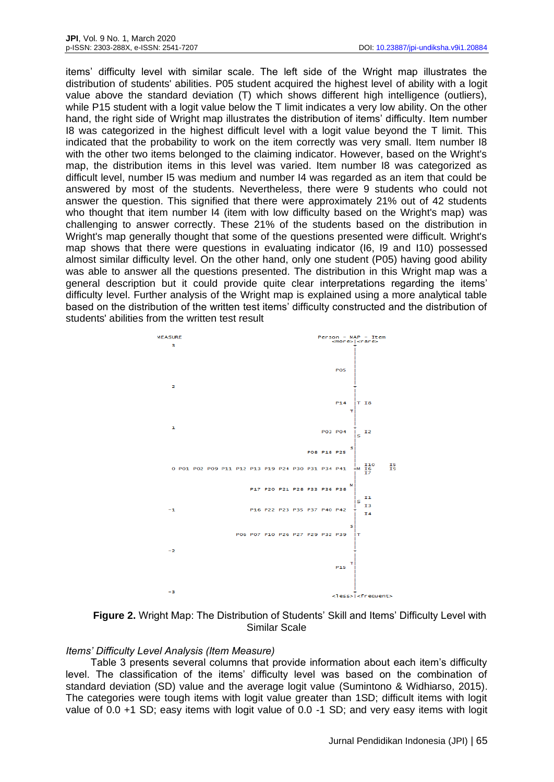items' difficulty level with similar scale. The left side of the Wright map illustrates the distribution of students' abilities. P05 student acquired the highest level of ability with a logit value above the standard deviation (T) which shows different high intelligence (outliers), while P15 student with a logit value below the T limit indicates a very low ability. On the other hand, the right side of Wright map illustrates the distribution of items' difficulty. Item number I8 was categorized in the highest difficult level with a logit value beyond the T limit. This indicated that the probability to work on the item correctly was very small. Item number I8 with the other two items belonged to the claiming indicator. However, based on the Wright's map, the distribution items in this level was varied. Item number I8 was categorized as difficult level, number I5 was medium and number I4 was regarded as an item that could be answered by most of the students. Nevertheless, there were 9 students who could not answer the question. This signified that there were approximately 21% out of 42 students who thought that item number I4 (item with low difficulty based on the Wright's map) was challenging to answer correctly. These 21% of the students based on the distribution in Wright's map generally thought that some of the questions presented were difficult. Wright's map shows that there were questions in evaluating indicator (I6, I9 and I10) possessed almost similar difficulty level. On the other hand, only one student (P05) having good ability was able to answer all the questions presented. The distribution in this Wright map was a general description but it could provide quite clear interpretations regarding the items' difficulty level. Further analysis of the Wright map is explained using a more analytical table based on the distribution of the written test items' difficulty constructed and the distribution of students' abilities from the written test result



**Figure 2.** Wright Map: The Distribution of Students' Skill and Items' Difficulty Level with Similar Scale

## *Items' Difficulty Level Analysis (Item Measure)*

Table 3 presents several columns that provide information about each item's difficulty level. The classification of the items' difficulty level was based on the combination of standard deviation (SD) value and the average logit value (Sumintono & Widhiarso, 2015). The categories were tough items with logit value greater than 1SD; difficult items with logit value of 0.0 +1 SD; easy items with logit value of 0.0 -1 SD; and very easy items with logit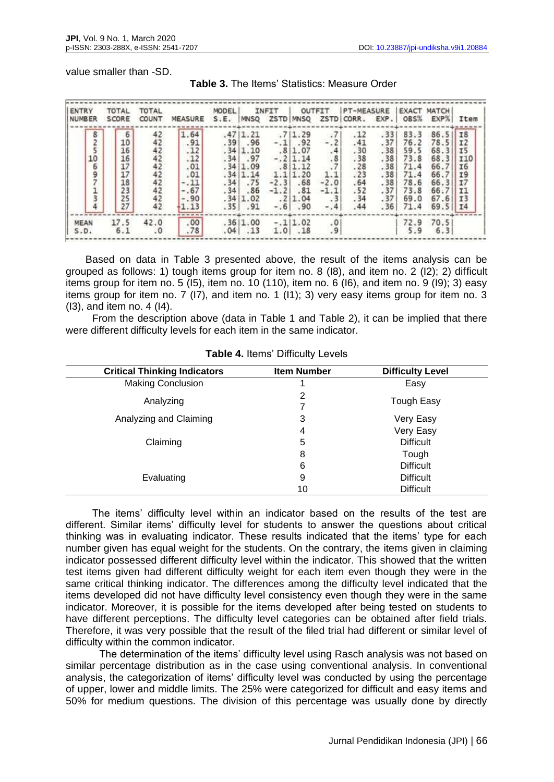value smaller than -SD.

| ENTRY<br>I NUMBER          | TOTAL<br>SCORE                                                 | <b>TOTAL</b><br>COUNT                              | MEASURE                                                                       | MODEL<br>S.E.                                                            | <b>MNSQ</b>                                                             | INFIT<br>ZSTD                               | <b>MNSQ</b>                                                                                 | OUTFIT<br>ZSTD <sup>I</sup>                                             | <b>PT-MEASURE</b><br>CORR.                                         | EXP.                                                               | <b>EXACT</b><br>OBS%                                                         | MATCH<br>EXP%                                                                | Item                                                                                         |
|----------------------------|----------------------------------------------------------------|----------------------------------------------------|-------------------------------------------------------------------------------|--------------------------------------------------------------------------|-------------------------------------------------------------------------|---------------------------------------------|---------------------------------------------------------------------------------------------|-------------------------------------------------------------------------|--------------------------------------------------------------------|--------------------------------------------------------------------|------------------------------------------------------------------------------|------------------------------------------------------------------------------|----------------------------------------------------------------------------------------------|
| 825<br>10<br>$\frac{6}{9}$ | $\frac{6}{10}$<br>16<br>16<br>17<br>17<br>18<br>23<br>25<br>27 | $42422$<br>$4222$<br>$4222$<br>$422$<br>$42$<br>42 | 1.64<br>.91<br>.12<br>.12<br>.01<br>.01<br>$-.11$<br>$-.67$<br>$-.90$<br>1.13 | .47<br>.39<br>.34<br>.34<br>.34<br>.34<br>$.34$<br>$.34$<br>$.34$<br>.35 | 1.21<br>.96<br>1.10<br>.97<br>1.09<br>1.14<br>.75<br>.86<br>1.02<br>.91 | $-.11$<br>$-2.3$<br>$-1.2$<br>.217<br>$-.6$ | .7 1.29<br>.92<br>.8 1.07<br>$-.2 1.14$<br>.8 1.12<br>1.1 1.20<br>.68<br>.81<br>1.04<br>.90 | .7<br>$-.2$<br>.4<br>.8<br>.7<br>1.1<br>$-2.0$<br>$-1.1$<br>.3<br>$-.4$ | .12<br>.41<br>.30<br>.38<br>.28<br>.23<br>.64<br>.52<br>.34<br>.44 | .33<br>.37<br>.38<br>.38<br>.38<br>.38<br>.38<br>.37<br>.37<br>.36 | 83.3<br>76.2<br>59.5<br>73.8<br>71.4<br>71.4<br>78.6<br>73.8<br>69.0<br>71.4 | 86.5<br>78.5<br>68.3<br>68.3<br>66.7<br>66.7<br>66.3<br>66.7<br>67.6<br>69.5 | <b>I8</b><br>IZ<br><b>I5</b><br><b>I10</b><br><b>I6</b><br>I9<br>I7<br>I1<br><b>I3</b><br>I4 |
| <b>MEAN</b><br>S.D.        | 17.5<br>6.1                                                    | 42.0<br>.0                                         | .00.<br>.78                                                                   | .04                                                                      | .36 1.00<br>.13                                                         | 1.0                                         | $-.11.02$<br>.18                                                                            | $\frac{0}{2}$                                                           |                                                                    |                                                                    | 72.9<br>5.9                                                                  | 70.5<br>6.3                                                                  |                                                                                              |

|  | Table 3. The Items' Statistics: Measure Order |  |
|--|-----------------------------------------------|--|
|  |                                               |  |

Based on data in Table 3 presented above, the result of the items analysis can be grouped as follows: 1) tough items group for item no. 8 (I8), and item no. 2 (I2); 2) difficult items group for item no. 5 (I5), item no. 10 (110), item no. 6 (I6), and item no. 9 (I9); 3) easy items group for item no. 7 (I7), and item no. 1 (I1); 3) very easy items group for item no. 3 (I3), and item no. 4 (I4).

From the description above (data in Table 1 and Table 2), it can be implied that there were different difficulty levels for each item in the same indicator.

| <b>Critical Thinking Indicators</b> | <b>Item Number</b> | <b>Difficulty Level</b> |
|-------------------------------------|--------------------|-------------------------|
| <b>Making Conclusion</b>            |                    | Easy                    |
| Analyzing                           | 2<br>7             | Tough Easy              |
| Analyzing and Claiming              | 3                  | Very Easy               |
|                                     | 4                  | Very Easy               |
| Claiming                            | 5                  | <b>Difficult</b>        |
|                                     | 8                  | Tough                   |
|                                     | 6                  | <b>Difficult</b>        |
| Evaluating                          | 9                  | <b>Difficult</b>        |
|                                     | 10                 | <b>Difficult</b>        |

**Table 4.** Items' Difficulty Levels

The items' difficulty level within an indicator based on the results of the test are different. Similar items' difficulty level for students to answer the questions about critical thinking was in evaluating indicator. These results indicated that the items' type for each number given has equal weight for the students. On the contrary, the items given in claiming indicator possessed different difficulty level within the indicator. This showed that the written test items given had different difficulty weight for each item even though they were in the same critical thinking indicator. The differences among the difficulty level indicated that the items developed did not have difficulty level consistency even though they were in the same indicator. Moreover, it is possible for the items developed after being tested on students to have different perceptions. The difficulty level categories can be obtained after field trials. Therefore, it was very possible that the result of the filed trial had different or similar level of difficulty within the common indicator.

The determination of the items' difficulty level using Rasch analysis was not based on similar percentage distribution as in the case using conventional analysis. In conventional analysis, the categorization of items' difficulty level was conducted by using the percentage of upper, lower and middle limits. The 25% were categorized for difficult and easy items and 50% for medium questions. The division of this percentage was usually done by directly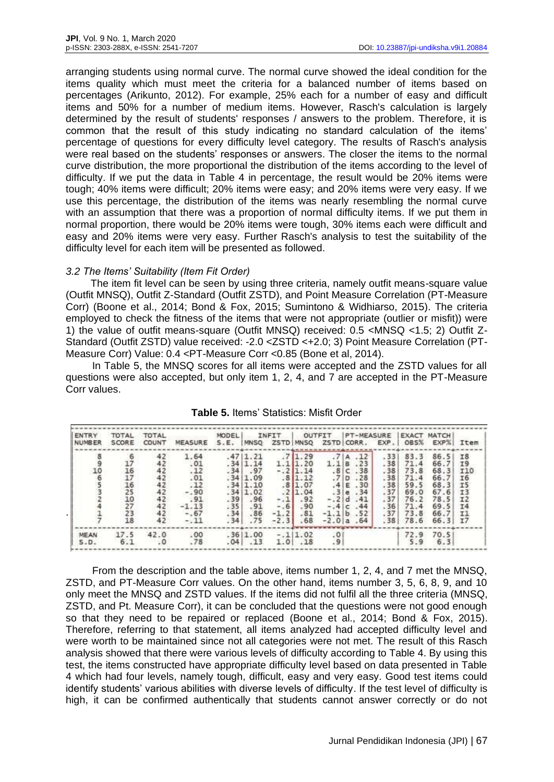arranging students using normal curve. The normal curve showed the ideal condition for the items quality which must meet the criteria for a balanced number of items based on percentages (Arikunto, 2012). For example, 25% each for a number of easy and difficult items and 50% for a number of medium items. However, Rasch's calculation is largely determined by the result of students' responses / answers to the problem. Therefore, it is common that the result of this study indicating no standard calculation of the items' percentage of questions for every difficulty level category. The results of Rasch's analysis were real based on the students' responses or answers. The closer the items to the normal curve distribution, the more proportional the distribution of the items according to the level of difficulty. If we put the data in Table 4 in percentage, the result would be 20% items were tough; 40% items were difficult; 20% items were easy; and 20% items were very easy. If we use this percentage, the distribution of the items was nearly resembling the normal curve with an assumption that there was a proportion of normal difficulty items. If we put them in normal proportion, there would be 20% items were tough, 30% items each were difficult and easy and 20% items were very easy. Further Rasch's analysis to test the suitability of the difficulty level for each item will be presented as followed.

## *3.2 The Items' Suitability (Item Fit Order)*

The item fit level can be seen by using three criteria, namely outfit means-square value (Outfit MNSQ), Outfit Z-Standard (Outfit ZSTD), and Point Measure Correlation (PT-Measure Corr) (Boone et al., 2014; Bond & Fox, 2015; Sumintono & Widhiarso, 2015). The criteria employed to check the fitness of the items that were not appropriate (outlier or misfit)) were 1) the value of outfit means-square (Outfit MNSQ) received: 0.5 <MNSQ <1.5; 2) Outfit Z-Standard (Outfit ZSTD) value received: -2.0 < ZSTD < +2.0; 3) Point Measure Correlation (PT-Measure Corr) Value: 0.4 <PT-Measure Corr <0.85 (Bone et al, 2014).

In Table 5, the MNSQ scores for all items were accepted and the ZSTD values for all questions were also accepted, but only item 1, 2, 4, and 7 are accepted in the PT-Measure Corr values.

| <b>ENTRY</b>  | <b>TOTAL</b>                          | TOTAL                                                              |                                                                                      | MODEL                                         |                                                                                           | INFIT <sub>I</sub>                                          |                                                                                              | OUTFIT                           | <b>PT-MEASURE</b>                                                                                         |                                                                    |                                                                              | <b>EXACT MATCH</b>                                                           |                                                                                                   |
|---------------|---------------------------------------|--------------------------------------------------------------------|--------------------------------------------------------------------------------------|-----------------------------------------------|-------------------------------------------------------------------------------------------|-------------------------------------------------------------|----------------------------------------------------------------------------------------------|----------------------------------|-----------------------------------------------------------------------------------------------------------|--------------------------------------------------------------------|------------------------------------------------------------------------------|------------------------------------------------------------------------------|---------------------------------------------------------------------------------------------------|
| <b>NUMBER</b> | SCORE                                 | COUNT                                                              | MEASURE                                                                              | S.E.                                          | <b>MNSO</b>                                                                               |                                                             | ZSTD MNSO                                                                                    |                                  | ZSTD CORR.                                                                                                | EXP.                                                               | OBS%                                                                         | EXP%                                                                         | Item                                                                                              |
| 8905          | 6<br>$\frac{16}{17}$<br>1625073<br>18 | 42<br>42<br>42<br>$^{42}_{42}$<br>42<br>$42$<br>$42$<br>$42$<br>42 | 1.64<br>.01<br>.12<br>.01<br>$: \frac{12}{90}$<br>.91<br>$-1.13$<br>$-.67$<br>$-.11$ | .47<br>.34<br>$.39$<br>$.35$<br>$.34$<br>.34' | 11.21<br>.34 1.14<br>.97<br>.34(1.09)<br>.34 1.10<br>.34 1.02<br>.96<br>.91<br>.86<br>.75 | $\begin{array}{c} -1 \\ -1.8 \\ -1.2 \end{array}$<br>$-2.3$ | .71.29<br>1.11.20<br>$-.2$ 1.14<br>.8 1.12<br>.8 1.07<br>.2 1.04<br>.92<br>.90<br>.81<br>.68 | .7 A<br>1.1B<br>.7 D<br>$-1.1 b$ | .12<br>.23<br>.8 C.38 <br>.28<br>.4 E.30 <br>.3 e.34<br>$-.2$ d $.41$<br>$-.4 c.44$<br>.52<br>$-2.01a.64$ | .33<br>.38<br>.38<br>.38<br>.38<br>.37<br>.37<br>.36<br>.37<br>.38 | 83.3<br>71.4<br>73.8<br>71.4<br>59.5<br>69.0<br>76.2<br>71.4<br>73.8<br>78.6 | 86.5<br>66.7<br>68.3<br>66.7<br>68.3<br>67.6<br>78.5<br>69.5<br>66.7<br>66.3 | 18<br><b>I9</b><br><b>I10</b><br><b>I6</b><br>I5<br><b>I3</b><br>T <sub>2</sub><br>T4<br>11<br>T7 |
| MEAN<br>5.D.  | 17.5<br>6.1                           | 42.0<br>$\cdot$ 0                                                  | .00<br>.78                                                                           | .04                                           | .36 1.00<br>.13                                                                           |                                                             | $-.11.02$<br>1.01.18                                                                         | $\frac{0}{9}$                    |                                                                                                           |                                                                    | 72.9<br>5.9                                                                  | 70.5<br>6.3                                                                  |                                                                                                   |

**Table 5.** Items' Statistics: Misfit Order

From the description and the table above, items number 1, 2, 4, and 7 met the MNSQ, ZSTD, and PT-Measure Corr values. On the other hand, items number 3, 5, 6, 8, 9, and 10 only meet the MNSQ and ZSTD values. If the items did not fulfil all the three criteria (MNSQ, ZSTD, and Pt. Measure Corr), it can be concluded that the questions were not good enough so that they need to be repaired or replaced (Boone et al., 2014; Bond & Fox, 2015). Therefore, referring to that statement, all items analyzed had accepted difficulty level and were worth to be maintained since not all categories were not met. The result of this Rasch analysis showed that there were various levels of difficulty according to Table 4. By using this test, the items constructed have appropriate difficulty level based on data presented in Table 4 which had four levels, namely tough, difficult, easy and very easy. Good test items could identify students' various abilities with diverse levels of difficulty. If the test level of difficulty is high, it can be confirmed authentically that students cannot answer correctly or do not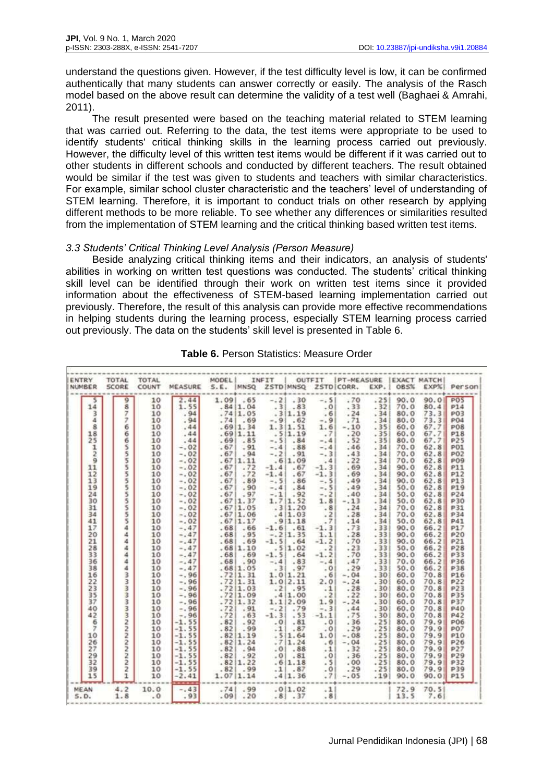understand the questions given. However, if the test difficulty level is low, it can be confirmed authentically that many students can answer correctly or easily. The analysis of the Rasch model based on the above result can determine the validity of a test well (Baghaei & Amrahi, 2011).

The result presented were based on the teaching material related to STEM learning that was carried out. Referring to the data, the test items were appropriate to be used to identify students' critical thinking skills in the learning process carried out previously. However, the difficulty level of this written test items would be different if it was carried out to other students in different schools and conducted by different teachers. The result obtained would be similar if the test was given to students and teachers with similar characteristics. For example, similar school cluster characteristic and the teachers' level of understanding of STEM learning. Therefore, it is important to conduct trials on other research by applying different methods to be more reliable. To see whether any differences or similarities resulted from the implementation of STEM learning and the critical thinking based written test items.

## *3.3 Students' Critical Thinking Level Analysis (Person Measure)*

Beside analyzing critical thinking items and their indicators, an analysis of students' abilities in working on written test questions was conducted. The students' critical thinking skill level can be identified through their work on written test items since it provided information about the effectiveness of STEM-based learning implementation carried out previously. Therefore, the result of this analysis can provide more effective recommendations in helping students during the learning process, especially STEM learning process carried out previously. The data on the students' skill level is presented in Table 6.

| ENTRY<br><b>INUMBER</b> | <b>TOTAL</b><br>SCORE    | <b>TOTAL</b><br><b>COUNT</b> | MEASURE | MODEL I<br>S.E. MNSQ |                                    | INFIT     | <b>ZSTD MNSQ</b>                                                              | OUTFIT          | <b>PT-MEASURE</b><br>ZSTD CORR. | EXP. | <b>EXACT MATCH</b><br>085% | EXP%       | Person          |
|-------------------------|--------------------------|------------------------------|---------|----------------------|------------------------------------|-----------|-------------------------------------------------------------------------------|-----------------|---------------------------------|------|----------------------------|------------|-----------------|
|                         |                          |                              |         |                      |                                    |           |                                                                               |                 |                                 |      |                            |            |                 |
| s                       | $\overline{9}$           | 10                           | 2.44    | 1.09                 | .65                                | $-.2$     | .30                                                                           | $-.5$           | .70                             | .25  | 90.0                       | 90.0       | <b>POS</b>      |
| 14                      | $\overline{\mathbf{8}}$  | 10                           | 1.55    |                      | .84 1.04                           | .3        | .83                                                                           | .0 <sub>1</sub> | .33                             | .32  | 70.0                       | 80.4       | P14             |
| $\overline{\mathbf{3}}$ | $\overline{\mathcal{I}}$ | 10                           | .94     |                      | .7411.05                           |           | .311.19                                                                       | .6              | .24                             | .34  | 80.0                       | 73.3       | PO3             |
| 4                       | $\overline{z}$           | 10                           | .94     | .74                  | .69                                | $-9.9$    | .62                                                                           | $-0.9$          | .71                             | .34  | 80.0                       | 73.3       | <b>PO4</b>      |
| $\mathbf{s}$            | 6                        | 10                           | .44     |                      | .69 1.34                           |           | 1.3 1.51                                                                      | 1.6             | $-.10$                          | .35  | 60.0                       | 67.71      | <b>PO8</b>      |
| 18                      | 6                        | 10                           | .44     |                      | .69 1.11                           |           | .5 1.19                                                                       | .7              | .20                             | .35  | 60.0                       | 67.7       | <b>P18</b>      |
| 25                      | 6                        | 10                           | .44     | .69                  | .85                                | $-.51$    | .84                                                                           | $-.41$          | .52                             | .35  | 80.0                       | 67.7       | P <sub>25</sub> |
| $\mathbf{1}$            | $\overline{\mathbf{5}}$  | 10                           | $-.02$  | .67                  | .91                                | $-.4 $    | .88                                                                           | $-.4$           | .46                             | .34  | 70.0                       | 62.8       | <b>P01</b>      |
| $\overline{2}$          | $\overline{5}$           | 10                           | $-.02$  | .67                  | .94                                |           | $-.21.91$                                                                     | $-.31$          | .43                             | .34  | 70.0                       | 62.8       | <b>P02</b>      |
| $\overline{9}$          | $\frac{5}{5}$            | 10                           | $-.02$  |                      | .67 1.11                           |           | .6 1.09                                                                       | 41              | .22                             | .34  | 70.0                       | 62.8       | <b>P09</b>      |
| 11                      |                          | 10                           | $-.02$  | .67                  | .72                                | $-1.4$    | .67                                                                           | $-1.3$          | .69                             | .34  | 90.0                       | 62.8       | P11             |
| 12                      | $\overline{5}$           | 10                           | $-.02$  | .67                  | .72                                | $-1.4$    | .67                                                                           | $-1.3$          | .69                             | .34  | 90.0                       | 62.8       | P12             |
| 13                      | <b>umunum</b>            | 10                           | $-.02$  | .67                  | .89                                | $-.51$    | .86                                                                           | $-.5$           | .49                             | .34  | 90.0                       | 62.8       | P13             |
| 19                      |                          | 10                           | $-.02$  | .67                  | .90                                | $-, 4$    | .84                                                                           | $-.5$           | .49                             | .34  | 50.0                       | 62.8       | <b>P19</b>      |
| 24                      |                          | 10                           | $-.02$  | .67                  | .97                                | $-.1$     | .92                                                                           | $-.2$           | .40                             | .34  | 50.0                       | 62.8       | <b>P24</b>      |
| 30                      |                          | 10                           | $-.02$  |                      | $.67 \mid 1.37$<br>$.67 \mid 1.05$ |           | $1.71.52$<br>$31.20$                                                          | 1.8             | $-.13$                          | .34  | 50.0                       | 62.8       | <b>P30</b>      |
| 31                      |                          | 10                           | $-.02$  |                      |                                    |           |                                                                               | .8              | .24                             | .341 | 70.0                       | 62.8       | <b>P31</b>      |
| 34                      |                          | 10                           | $-.02$  |                      | .671.06                            |           | $\begin{array}{ c} 4 & 1.03 \\ -9 & 1.18 \end{array}$                         | .21             | .28                             | .34  | 70.0                       | 62.8       | P34             |
| 41                      | $\tilde{\mathbf{s}}$     | 10                           | $-.02$  |                      | .671.17                            |           |                                                                               | .7              | .14                             | .34  | 50.0                       | 62.8       | P41             |
| 17                      | á.                       | 10                           | $-.47$  | .68                  | .66                                |           | $-1.6$ . $61$                                                                 | $-1.3$          | .73                             | .33  | 90.0                       | 66.2       | P17             |
| 20                      | 4                        | 10                           | $-.47$  | .68                  | .95                                |           | $-.2 1.35$                                                                    | 1.1             | .28                             | .331 | 90.0                       | 66.2       | <b>P20</b>      |
| 21                      | $\Delta$                 | 10                           | $-.47$  | .681                 | .69                                | $-1.51$   | .64                                                                           | $-1.2$          | .70                             | .331 | 90.0                       | 66.2       | P21             |
| 28                      | $\ddot{a}$               | 10                           | $-.47$  |                      | .68 1.10                           |           | .511.02                                                                       | $\cdots$ 2      | .23                             | .331 | 50.0                       | 66.2       | P28             |
| 33                      | ä                        | 10                           | $-.47$  | .68 <sub>1</sub>     | .69                                | $-1.51$   | .64                                                                           | $-1.2$          | .70                             | .33  | 90.0                       | 66.2       | P33             |
| 36                      | a.                       | 10                           | $-.47$  | .68                  | .90                                | $-44$     | .83                                                                           | $-.4$           | .47                             | .331 | 70.0                       | 66.2       | <b>P36</b>      |
| 38                      | $\Delta$                 | 10                           | $-.47$  |                      | .68 1.05                           | .3        | .97                                                                           | $-0$            | .29                             | .33  | 50.0                       | 66.2       | <b>P38</b>      |
| 16                      | ww.                      | 10                           | $-.96$  |                      | .72 1.31                           |           | $1.0$ $1.21$<br>$1.0$ $2.11$                                                  | .61             | $-.04$                          | .301 | 60.0                       | 70.8       | <b>P16</b>      |
| 22                      |                          | 10                           | $-.96$  |                      | .72 1.31                           |           |                                                                               | 2.0             | $-.24$                          | .30  | 60.0                       | 70.8       | <b>P22</b>      |
| 23                      | i en en                  | 10                           | $-.96$  |                      | .72 1.03                           |           | $.2$ .95                                                                      | $\cdot$ 1       | .28                             | .301 | 80.0                       | 70.8       | P23             |
| 35                      |                          | 10                           | $-.96$  |                      |                                    |           | $1.1 \begin{array}{ c} 1.00 \\ 2.09 \end{array}$                              | $-2$            | .22                             | .30  | 60.0                       | 70.8       | <b>P35</b>      |
| 37                      | ā                        | 10                           | $-.96$  |                      | $: 72 \mid 1.09$<br>:72 1.32       |           |                                                                               | 1.9             | $-.24$                          | .30  | 60.0                       | 70.8       | <b>P37</b>      |
| 40                      |                          | 10                           | $-.96$  | .721                 | .91                                | $-.2$     | .79                                                                           | $-0.3$          | .44                             | .30  | 60.0                       | 70.8       | <b>P40</b>      |
| 42                      |                          | 10                           | $-.96$  | .72                  | .63                                | $-1.31$   | .53                                                                           | $-1.1$          | .75                             | .30  | 80.0                       | 70.8       | <b>P42</b>      |
| 6                       |                          | 10                           | $-1.55$ | .82                  | .92                                | .01       | .81                                                                           | .01             | .36                             | .25  | 80.0                       | 79.9       | <b>P06</b>      |
| $\overline{7}$          |                          | 10                           | $-1.55$ | .82                  | .99                                | $\cdot$ 1 | .87                                                                           | .0              | .29                             | .25  | 80.0                       | 79.9       | <b>P07</b>      |
| 10                      | wwwwww                   | 10                           | $-1.55$ |                      | .82 1.19                           |           | .5 1.64                                                                       | 1.0             | $-.08$                          | .25  | 80.0                       | 79.9       | P10             |
| 26                      |                          | 10                           | $-1.55$ |                      | .82 1.24                           |           | .7 1.24                                                                       | .6              | $-.04$                          | .25  | 80.0                       | 79.9       | P26             |
| 27                      |                          | 10                           | $-1.55$ | $-82$                | .94                                |           | .01.88                                                                        | .11             | .32                             | .25  | 80.0                       | 79.9       | <b>P27</b>      |
| 29                      | ã                        | 10                           | $-1.55$ | .82                  | .92                                |           | .01.81                                                                        | .01             | .36                             | .25  | 80.0                       | 79.9       | <b>P29</b>      |
| 32                      | $\ddot{\phantom{a}}$     | 10                           | $-1.55$ |                      | .82 1.22                           |           | .6 1.18                                                                       | .51             | .00                             | .25  | 80.0                       | 79.9       | <b>P32</b>      |
| 39                      | $\overline{2}$           | 10                           | $-1.55$ | .82                  | .99                                |           | $\begin{array}{ c c }\n \hline\n 1 & 0.87 \\ \hline\n 4 & 1.36\n \end{array}$ | $\frac{.0}{.7}$ | .29                             | .251 | 80.0                       | 79.9       | <b>P39</b>      |
| 15                      | $\mathbf 1$              | 10                           | $-2.41$ |                      | 1.07 1.14                          |           |                                                                               |                 | $-.05$                          | .191 | 90.0                       | $90.0$ P15 |                 |
| MEAN                    | 4.2                      | 10.0                         | $-.43$  | .741                 | .99                                |           | .0 1.02                                                                       | .11             |                                 |      | 72.9                       | 70.5       |                 |
| S.D.                    | 1.8                      | .0                           | .93     |                      | $.09$ . 20                         |           | .81.37                                                                        | .81             |                                 |      | 13.5                       | 7.6        |                 |

| Table 6. Person Statistics: Measure Order |  |  |  |  |  |  |
|-------------------------------------------|--|--|--|--|--|--|
|-------------------------------------------|--|--|--|--|--|--|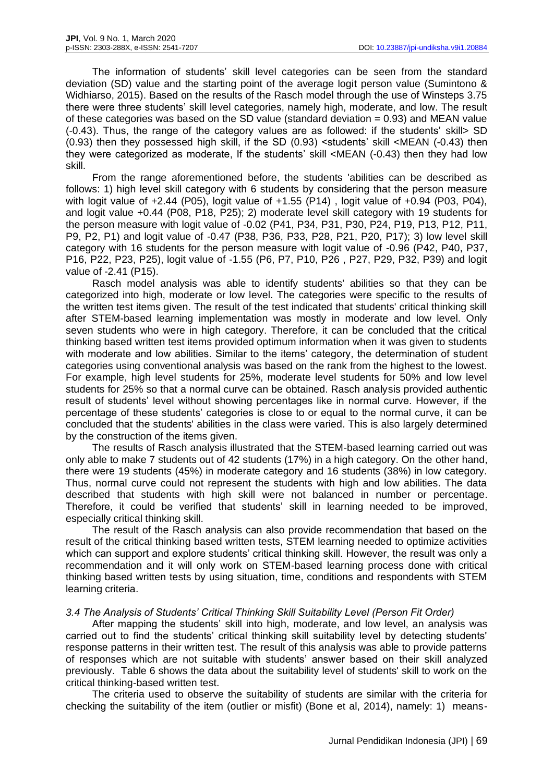The information of students' skill level categories can be seen from the standard deviation (SD) value and the starting point of the average logit person value (Sumintono & Widhiarso, 2015). Based on the results of the Rasch model through the use of Winsteps 3.75 there were three students' skill level categories, namely high, moderate, and low. The result of these categories was based on the SD value (standard deviation  $= 0.93$ ) and MEAN value (-0.43). Thus, the range of the category values are as followed: if the students' skill> SD (0.93) then they possessed high skill, if the SD (0.93) <students' skill <MEAN (-0.43) then they were categorized as moderate, If the students' skill <MEAN (-0.43) then they had low skill.

From the range aforementioned before, the students 'abilities can be described as follows: 1) high level skill category with 6 students by considering that the person measure with logit value of +2.44 (P05), logit value of +1.55 (P14) , logit value of +0.94 (P03, P04), and logit value +0.44 (P08, P18, P25); 2) moderate level skill category with 19 students for the person measure with logit value of -0.02 (P41, P34, P31, P30, P24, P19, P13, P12, P11, P9, P2, P1) and logit value of -0.47 (P38, P36, P33, P28, P21, P20, P17); 3) low level skill category with 16 students for the person measure with logit value of -0.96 (P42, P40, P37, P16, P22, P23, P25), logit value of -1.55 (P6, P7, P10, P26 , P27, P29, P32, P39) and logit value of -2.41 (P15).

Rasch model analysis was able to identify students' abilities so that they can be categorized into high, moderate or low level. The categories were specific to the results of the written test items given. The result of the test indicated that students' critical thinking skill after STEM-based learning implementation was mostly in moderate and low level. Only seven students who were in high category. Therefore, it can be concluded that the critical thinking based written test items provided optimum information when it was given to students with moderate and low abilities. Similar to the items' category, the determination of student categories using conventional analysis was based on the rank from the highest to the lowest. For example, high level students for 25%, moderate level students for 50% and low level students for 25% so that a normal curve can be obtained. Rasch analysis provided authentic result of students' level without showing percentages like in normal curve. However, if the percentage of these students' categories is close to or equal to the normal curve, it can be concluded that the students' abilities in the class were varied. This is also largely determined by the construction of the items given.

The results of Rasch analysis illustrated that the STEM-based learning carried out was only able to make 7 students out of 42 students (17%) in a high category. On the other hand, there were 19 students (45%) in moderate category and 16 students (38%) in low category. Thus, normal curve could not represent the students with high and low abilities. The data described that students with high skill were not balanced in number or percentage. Therefore, it could be verified that students' skill in learning needed to be improved, especially critical thinking skill.

The result of the Rasch analysis can also provide recommendation that based on the result of the critical thinking based written tests, STEM learning needed to optimize activities which can support and explore students' critical thinking skill. However, the result was only a recommendation and it will only work on STEM-based learning process done with critical thinking based written tests by using situation, time, conditions and respondents with STEM learning criteria.

## *3.4 The Analysis of Students' Critical Thinking Skill Suitability Level (Person Fit Order)*

After mapping the students' skill into high, moderate, and low level, an analysis was carried out to find the students' critical thinking skill suitability level by detecting students' response patterns in their written test. The result of this analysis was able to provide patterns of responses which are not suitable with students' answer based on their skill analyzed previously. Table 6 shows the data about the suitability level of students' skill to work on the critical thinking-based written test.

The criteria used to observe the suitability of students are similar with the criteria for checking the suitability of the item (outlier or misfit) (Bone et al, 2014), namely: 1) means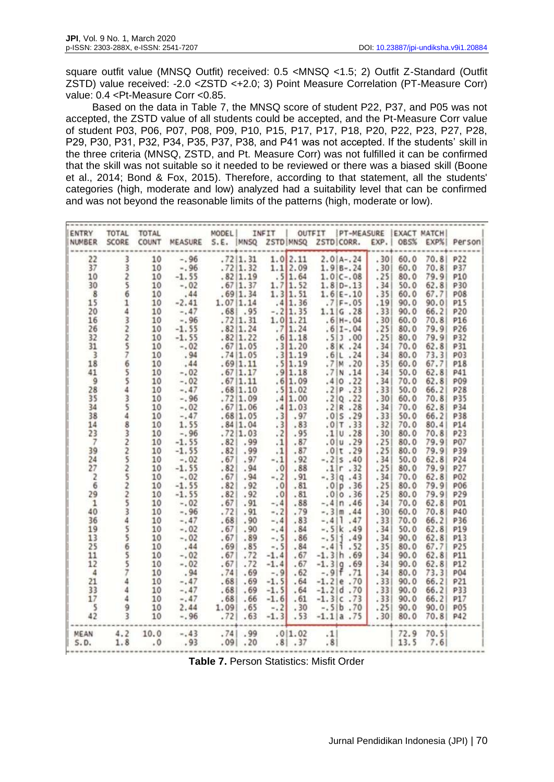square outfit value (MNSQ Outfit) received: 0.5 <MNSQ <1.5; 2) Outfit Z-Standard (Outfit ZSTD) value received: -2.0 <ZSTD <+2.0; 3) Point Measure Correlation (PT-Measure Corr) value: 0.4 <Pt-Measure Corr <0.85.

Based on the data in Table 7, the MNSQ score of student P22, P37, and P05 was not accepted, the ZSTD value of all students could be accepted, and the Pt-Measure Corr value of student P03, P06, P07, P08, P09, P10, P15, P17, P17, P18, P20, P22, P23, P27, P28, P29, P30, P31, P32, P34, P35, P37, P38, and P41 was not accepted. If the students' skill in the three criteria (MNSQ, ZSTD, and Pt. Measure Corr) was not fulfilled it can be confirmed that the skill was not suitable so it needed to be reviewed or there was a biased skill (Boone et al., 2014; Bond & Fox, 2015). Therefore, according to that statement, all the students' categories (high, moderate and low) analyzed had a suitability level that can be confirmed and was not beyond the reasonable limits of the patterns (high, moderate or low).

| ENTRY<br>NUMBER          | <b>TOTAL</b><br>SCORE           | <b>TOTAL</b><br>COUNT | MEASURE S.E. MNSQ | MODEL |            | INFIT           | ZSTD MNSQ                                 | OUTFIT   | PT-MEASURE<br>ZSTD CORR.                                     | EXP. | <b>EXACT MATCH</b><br>085% | EXP%  | Person     |
|--------------------------|---------------------------------|-----------------------|-------------------|-------|------------|-----------------|-------------------------------------------|----------|--------------------------------------------------------------|------|----------------------------|-------|------------|
| 22                       |                                 | 10                    | $-.96$            |       | .72 1.31   |                 | $1.0$ 2.11                                |          | $2.0 A-.24$                                                  | .301 | 60.0                       | 70.8  | P22        |
| 37                       | 3<br>2<br>2                     | 10                    | $-.96$            |       | .72 1.32   |                 | $1.1$ 2.09                                |          | $1.9 B-.24$                                                  | .301 | 60.0                       | 70.8  | P37        |
| 10                       |                                 | 10                    | $-1.55$           |       | .82 1.19   |                 | .5 1.64                                   |          | $1.0 C-.08$                                                  | .25  | 80.0                       | 79.9  | <b>P10</b> |
| 30                       |                                 | 10                    | $-.02$            |       | .67 1.37   |                 |                                           |          | $1.8 D-.13$                                                  | .34  | 50.0                       | 62.8  | P30        |
| 8                        | $\frac{5}{6}$                   |                       |                   |       |            |                 | $1.7$ 1.52<br>1.3 1.51                    |          |                                                              |      |                            |       | <b>P08</b> |
| 15                       |                                 | 10                    | .44<br>$-2.41$    |       | .69 1.34   |                 |                                           |          | $1.6 E-.10$                                                  | .351 | 60.0                       | 67.7  |            |
|                          |                                 | 10                    |                   |       | 1.07 1.14  |                 | .4 1.36                                   |          | $.7 F-.05$                                                   | .19  | 90.0                       | 90.0  | P15        |
| 20                       |                                 | 10                    | $-.47$            |       | $.68$ . 95 |                 | $-.2$ 1.35                                |          | 1.1 G.28                                                     | .331 | 90.0                       | 66.21 | P20        |
| 16                       |                                 | 10                    | $-.96$            |       | .72 1.31   |                 | $1.0$ $1.21$<br>$7$ $1.24$<br>$.6$ $1.18$ |          | $.6 H-.04$                                                   | .301 | 60.0                       | 70.8  | P16        |
| 26                       |                                 | 10                    | $-1.55$           |       | .82 1.24   |                 |                                           |          | $.6 I-.04$                                                   | .25  | 80.0                       | 79.9  | P26        |
| 32                       |                                 | 10                    | $-1.55$           |       | .82 1.22   |                 |                                           |          | .51.00                                                       | .251 | 80.0                       | 79.9  | P32        |
| 31                       |                                 | 10                    | $-.02$            |       | .67 1.05   |                 | .3 1.20                                   |          | .8 K.24                                                      | .34  | 70.0                       | 62.8  | P31        |
| $\overline{3}$           |                                 | 10                    | .94               |       | .74(1.05)  |                 | .3 1.19                                   |          |                                                              | .34  | 80.0                       | 73.3  | <b>P03</b> |
| 18                       |                                 | 10                    | .44               |       | .69 1.11   |                 | $.\frac{5}{9}$ 1.19                       |          | $.6 L.24$<br>.7 M .20                                        | .35  | 60.0                       | 67.7  | <b>P18</b> |
| 41                       |                                 | 10                    | $-.02$            |       | .67 1.17   |                 |                                           |          | .7 N.14                                                      | .34  | 50.0                       | 62.8  | P41        |
| $\overline{9}$           |                                 | 10                    | $-.02$            |       | .67 1.11   |                 | .6 1.09                                   | .4 0     | .22                                                          | .34  | 70.0                       | 62.8  | <b>P09</b> |
| 28                       |                                 | 10                    | $-.47$            |       | .68 1.10   |                 | .5 1.02                                   |          | .2 P.23                                                      | .331 | 50.0                       | 66.2  | P28        |
| 35                       |                                 | 10                    | $-.96$            |       | .72 1.09   |                 | .4 1.00                                   |          | .2 Q.22                                                      | .301 | 60.0                       | 70.8  | <b>P35</b> |
| 34                       |                                 | 10                    | $-.02$            |       | .67 1.06   |                 | .4 1.03                                   |          | .2 R.28                                                      | .34  | 70.0                       | 62.8  | P34        |
| 38                       |                                 | 10                    | $-.47$            |       | .68 1.05   |                 | $.3$ . 97                                 |          | .015.29                                                      | .331 | 50.0                       | 66.21 | <b>P38</b> |
| 14                       |                                 | 10                    | 1.55              |       | .84 1.04   | .3              | .83                                       |          | .0 T.33                                                      | .32  | 70.0                       | 80.4  | P14        |
| 23                       |                                 | 10                    | $-.96$            |       | .72 1.03   |                 | $.2$ .95                                  |          | .1 U.28                                                      | .301 | 80.0                       | 70.8  | P23        |
|                          |                                 |                       |                   |       |            |                 |                                           |          |                                                              |      |                            |       |            |
| $\overline{7}$           |                                 | 10                    | $-1.55$           | .82   | .99        | .1              | .87                                       |          | .0 u.29                                                      | .25  | 80.0                       | 79.9  | <b>P07</b> |
| 39                       |                                 | 10                    | $-1.55$           | .82   | .99        | .1              | .87                                       |          | .0 t.29                                                      | .25  | 80.0                       | 79.9  | P39        |
| 24                       |                                 | 10                    | $-.02$            | .67   | .97        | $-.1$           | .92                                       |          | $-.2$  s .40                                                 | .34  | 50.0                       | 62.8  | P24        |
| 27                       |                                 | 10                    | $-1.55$           | .82   | .94        | .0 <sub>1</sub> | .88                                       | .1 r     | .32                                                          | .25  | 80.0                       | 79.9  | P27        |
| $\overline{\mathbf{z}}$  |                                 | 10                    | $-.02$            | .67   | .94        | $-.2$           | .91                                       |          | $-.3 q.43$                                                   | .34  | 70.0                       | 62.8  | <b>P02</b> |
| $\overline{6}$           |                                 | 10                    | $-1.55$           | .82   | .92        | .0              | .81                                       |          | .0 p.36                                                      | .25  | 80.0                       | 79.9  | <b>P06</b> |
| 29                       |                                 | 10                    | $-1.55$           | .82   | .92        | .01             | .81                                       |          | .0 0.36                                                      | .25  | 80.0                       | 79.9  | P29        |
| $\mathbf{1}$             |                                 | 10                    | $-.02$            | .67   | .91        | $-.4$           | .88                                       |          | $-.4 n.46$                                                   | .34  | 70.0                       | 62.8  | <b>P01</b> |
| 40                       |                                 | 10                    | $-.96$            | .72   | .91        | $-.2$           | .79                                       | $-.3 m$  | .44                                                          | .30  | 60.0                       | 70.8  | P40        |
| 36                       |                                 | 10                    | $-.47$            | .68   | .90        | $-.4$           | .83                                       | $-.4 1$  | .47                                                          | .33  | 70.0                       | 66.2  | P36        |
| 19                       |                                 | 10                    | $-.02$            | .67   | .90        | $-.4$           | .84                                       |          | $-.5 k.49$                                                   | . 34 | 50.0                       | 62.8  | P19        |
| 13                       |                                 | 10                    | $-.02$            | .67   | .89        | $-.5$           | .86                                       | $-.511$  | .49                                                          | .34  | 90.0                       | 62.81 | <b>P13</b> |
| 25                       | 1432257655435483225225225225744 | 10                    | .44               | .69   | .85        | $-5$            | .84                                       | $-.4 1$  | .52                                                          | .35  | 80.0                       | 67.7  | P25        |
| 11                       |                                 | 10                    | $-.02$            | .67   | .72        | $-1.4$          | .67                                       |          | $-1.3 h.69$                                                  | .34  | 90.0                       | 62.8  | P11        |
| 12                       |                                 | 10                    | $-.02$            | .67   | .72        | $-1.4$          | .67                                       |          |                                                              | .34  | 90.0                       | 62.8  | P12        |
| $\sqrt{4}$               |                                 | 10                    | .94               | .74   | .69        | $-.9$           | .62                                       |          | $\begin{array}{c c} -1.3 & 9 & .69 \\ -.9 & .71 \end{array}$ | .34  | 80.0                       | 73.3  | <b>P04</b> |
| 21                       |                                 | 10                    | $-.47$            | .68   | .69        | $-1.5$          | .64                                       |          | $-1.2$  e.70                                                 | .33  | 90.0                       | 66.2  | <b>P21</b> |
| 33                       |                                 |                       | $-.47$            |       |            |                 |                                           |          |                                                              |      |                            |       |            |
| 17                       | $\ddot{4}$                      | 10                    |                   | .68   | .69        | $-1.5$          | .64                                       | $-1.2$ d | .70                                                          | .331 | 90.0                       | 66.2  | P33        |
|                          |                                 | 10                    | $-.47$            | .68   | .66        | $-1.6$          | .61                                       |          | $-1.3$   C .73                                               | .331 | 90.0                       | 66.2  | P17        |
| $\overline{\phantom{a}}$ | $\frac{9}{3}$                   | 10                    | 2.44              | 1.09  | .65        | $-.2$           | .30                                       |          | $-.5 b.70$                                                   | .251 | 90.0                       | 90.0  | <b>P05</b> |
| 42                       |                                 | 10                    | $-.96$            | .72   | .63        | $-1.3$          | .53                                       |          | $-1.1$   a.75                                                | .30  | 80.0                       | 70.8  | P42        |
| MEAN                     | 4.2                             | 10.0                  | $-.43$            | .74   | .99        |                 | .0 1.02                                   | .11      |                                                              |      | $72.9$<br>13.5             | 70.5  |            |
| S.D.                     | 1.8                             | .0                    | .93               |       | $.09$ . 20 |                 | .81.37                                    | .8       |                                                              |      |                            | 7.6   |            |

**Table 7.** Person Statistics: Misfit Order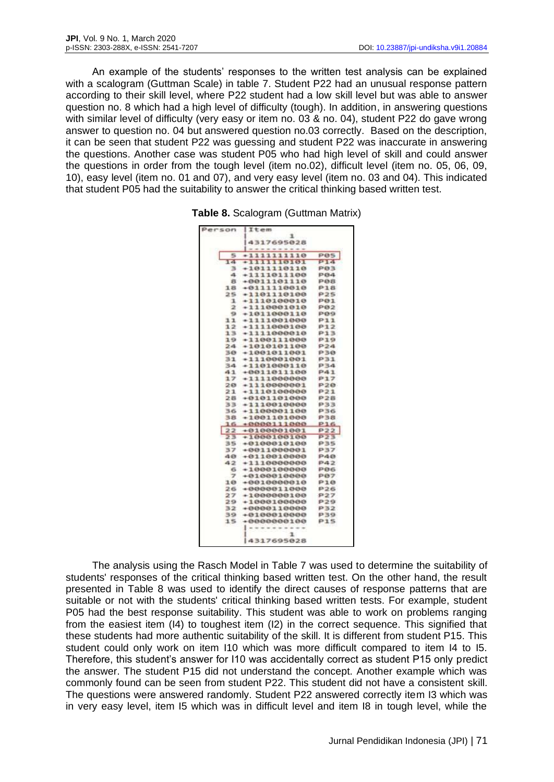An example of the students' responses to the written test analysis can be explained with a scalogram (Guttman Scale) in table 7. Student P22 had an unusual response pattern according to their skill level, where P22 student had a low skill level but was able to answer question no. 8 which had a high level of difficulty (tough). In addition, in answering questions with similar level of difficulty (very easy or item no. 03 & no. 04), student P22 do gave wrong answer to question no. 04 but answered question no.03 correctly. Based on the description, it can be seen that student P22 was guessing and student P22 was inaccurate in answering the questions. Another case was student P05 who had high level of skill and could answer the questions in order from the tough level (item no.02), difficult level (item no. 05, 06, 09, 10), easy level (item no. 01 and 07), and very easy level (item no. 03 and 04). This indicated that student P05 had the suitability to answer the critical thinking based written test.

|  | Table 8. Scalogram (Guttman Matrix) |  |  |
|--|-------------------------------------|--|--|
|--|-------------------------------------|--|--|

| ı<br>4317695028<br>5<br><b>POS</b><br>$+1111111110$<br>14<br>P14<br>$\rightarrow$ , , , , , , , , , , , , , , ,<br>з<br>$+1011110110$<br>PØ3<br>4<br>$+1111011100$<br>P84<br>+0011101110<br>8<br>PØ8<br>18<br>$+0111110010$<br>P18<br>25<br>$+1101110100$<br><b>P25</b><br>ı<br>$+1110100010$<br>PO1<br>$\mathbf{z}$<br>$+1110001010$<br>PØ2<br>$+1011000110$<br>9<br>P09<br>11<br>$+1111001000$<br>P11<br>12<br>$+1111000100$<br>P12<br>13<br>$+1111000010$<br>P13<br>19<br>$+1100111000$<br><b>P19</b><br>P24<br>24<br>$+1010101100$<br><b>P30</b><br>30<br>$+1001011001$<br>31<br>$*1110001001$<br>P31<br>$+1101000110$<br>P34<br>34<br>41<br>$+0011011100$<br><b>P41</b><br><b>P17</b><br>17<br>$+1111800000$<br>$+1110000001$<br>P2G<br>20<br>21<br>$+1110100000$<br>P21<br>28<br>$+0101101000$<br>P28<br>$+1110010000$<br>P33<br>33<br>36<br>$+1100001100$<br>P36<br>P38<br>38<br>$+1001101000$<br>$+0000111000$<br><b>P16</b><br>16<br>22<br>P22<br>$+0100001001$<br>23<br>P23<br>$+1000100100$<br>35<br><b>P35</b><br>$+0100010100$<br>$+0011000001$<br>いろプ<br>37<br>40<br>$+0110010000$<br><b>P40</b><br>42<br>$+1110000000$<br>P42<br>$+1000100000$<br>6<br>PO6<br>7<br>$+0100010000$<br>PØ7<br>10<br>$+0010000010$<br>P10<br>$+0000011000$<br>26<br><b>P26</b><br>27<br>P27<br>$+1000000100$<br>29<br>$+1000100000$<br><b>P29</b><br>$+0000110000$<br>32<br>P32<br>39<br>$+0100010000$<br>P39<br>15<br>$+0000000100$<br>P1S<br>ı | Person | Item       |  |
|---------------------------------------------------------------------------------------------------------------------------------------------------------------------------------------------------------------------------------------------------------------------------------------------------------------------------------------------------------------------------------------------------------------------------------------------------------------------------------------------------------------------------------------------------------------------------------------------------------------------------------------------------------------------------------------------------------------------------------------------------------------------------------------------------------------------------------------------------------------------------------------------------------------------------------------------------------------------------------------------------------------------------------------------------------------------------------------------------------------------------------------------------------------------------------------------------------------------------------------------------------------------------------------------------------------------------------------------------------------------------------------------------------------------------------------------|--------|------------|--|
|                                                                                                                                                                                                                                                                                                                                                                                                                                                                                                                                                                                                                                                                                                                                                                                                                                                                                                                                                                                                                                                                                                                                                                                                                                                                                                                                                                                                                                             |        |            |  |
|                                                                                                                                                                                                                                                                                                                                                                                                                                                                                                                                                                                                                                                                                                                                                                                                                                                                                                                                                                                                                                                                                                                                                                                                                                                                                                                                                                                                                                             |        |            |  |
|                                                                                                                                                                                                                                                                                                                                                                                                                                                                                                                                                                                                                                                                                                                                                                                                                                                                                                                                                                                                                                                                                                                                                                                                                                                                                                                                                                                                                                             |        |            |  |
|                                                                                                                                                                                                                                                                                                                                                                                                                                                                                                                                                                                                                                                                                                                                                                                                                                                                                                                                                                                                                                                                                                                                                                                                                                                                                                                                                                                                                                             |        |            |  |
|                                                                                                                                                                                                                                                                                                                                                                                                                                                                                                                                                                                                                                                                                                                                                                                                                                                                                                                                                                                                                                                                                                                                                                                                                                                                                                                                                                                                                                             |        |            |  |
|                                                                                                                                                                                                                                                                                                                                                                                                                                                                                                                                                                                                                                                                                                                                                                                                                                                                                                                                                                                                                                                                                                                                                                                                                                                                                                                                                                                                                                             |        |            |  |
|                                                                                                                                                                                                                                                                                                                                                                                                                                                                                                                                                                                                                                                                                                                                                                                                                                                                                                                                                                                                                                                                                                                                                                                                                                                                                                                                                                                                                                             |        |            |  |
|                                                                                                                                                                                                                                                                                                                                                                                                                                                                                                                                                                                                                                                                                                                                                                                                                                                                                                                                                                                                                                                                                                                                                                                                                                                                                                                                                                                                                                             |        |            |  |
|                                                                                                                                                                                                                                                                                                                                                                                                                                                                                                                                                                                                                                                                                                                                                                                                                                                                                                                                                                                                                                                                                                                                                                                                                                                                                                                                                                                                                                             |        |            |  |
|                                                                                                                                                                                                                                                                                                                                                                                                                                                                                                                                                                                                                                                                                                                                                                                                                                                                                                                                                                                                                                                                                                                                                                                                                                                                                                                                                                                                                                             |        |            |  |
|                                                                                                                                                                                                                                                                                                                                                                                                                                                                                                                                                                                                                                                                                                                                                                                                                                                                                                                                                                                                                                                                                                                                                                                                                                                                                                                                                                                                                                             |        |            |  |
|                                                                                                                                                                                                                                                                                                                                                                                                                                                                                                                                                                                                                                                                                                                                                                                                                                                                                                                                                                                                                                                                                                                                                                                                                                                                                                                                                                                                                                             |        |            |  |
|                                                                                                                                                                                                                                                                                                                                                                                                                                                                                                                                                                                                                                                                                                                                                                                                                                                                                                                                                                                                                                                                                                                                                                                                                                                                                                                                                                                                                                             |        |            |  |
|                                                                                                                                                                                                                                                                                                                                                                                                                                                                                                                                                                                                                                                                                                                                                                                                                                                                                                                                                                                                                                                                                                                                                                                                                                                                                                                                                                                                                                             |        |            |  |
|                                                                                                                                                                                                                                                                                                                                                                                                                                                                                                                                                                                                                                                                                                                                                                                                                                                                                                                                                                                                                                                                                                                                                                                                                                                                                                                                                                                                                                             |        |            |  |
|                                                                                                                                                                                                                                                                                                                                                                                                                                                                                                                                                                                                                                                                                                                                                                                                                                                                                                                                                                                                                                                                                                                                                                                                                                                                                                                                                                                                                                             |        |            |  |
|                                                                                                                                                                                                                                                                                                                                                                                                                                                                                                                                                                                                                                                                                                                                                                                                                                                                                                                                                                                                                                                                                                                                                                                                                                                                                                                                                                                                                                             |        |            |  |
|                                                                                                                                                                                                                                                                                                                                                                                                                                                                                                                                                                                                                                                                                                                                                                                                                                                                                                                                                                                                                                                                                                                                                                                                                                                                                                                                                                                                                                             |        |            |  |
|                                                                                                                                                                                                                                                                                                                                                                                                                                                                                                                                                                                                                                                                                                                                                                                                                                                                                                                                                                                                                                                                                                                                                                                                                                                                                                                                                                                                                                             |        |            |  |
|                                                                                                                                                                                                                                                                                                                                                                                                                                                                                                                                                                                                                                                                                                                                                                                                                                                                                                                                                                                                                                                                                                                                                                                                                                                                                                                                                                                                                                             |        |            |  |
|                                                                                                                                                                                                                                                                                                                                                                                                                                                                                                                                                                                                                                                                                                                                                                                                                                                                                                                                                                                                                                                                                                                                                                                                                                                                                                                                                                                                                                             |        |            |  |
|                                                                                                                                                                                                                                                                                                                                                                                                                                                                                                                                                                                                                                                                                                                                                                                                                                                                                                                                                                                                                                                                                                                                                                                                                                                                                                                                                                                                                                             |        |            |  |
|                                                                                                                                                                                                                                                                                                                                                                                                                                                                                                                                                                                                                                                                                                                                                                                                                                                                                                                                                                                                                                                                                                                                                                                                                                                                                                                                                                                                                                             |        |            |  |
|                                                                                                                                                                                                                                                                                                                                                                                                                                                                                                                                                                                                                                                                                                                                                                                                                                                                                                                                                                                                                                                                                                                                                                                                                                                                                                                                                                                                                                             |        |            |  |
|                                                                                                                                                                                                                                                                                                                                                                                                                                                                                                                                                                                                                                                                                                                                                                                                                                                                                                                                                                                                                                                                                                                                                                                                                                                                                                                                                                                                                                             |        |            |  |
|                                                                                                                                                                                                                                                                                                                                                                                                                                                                                                                                                                                                                                                                                                                                                                                                                                                                                                                                                                                                                                                                                                                                                                                                                                                                                                                                                                                                                                             |        |            |  |
|                                                                                                                                                                                                                                                                                                                                                                                                                                                                                                                                                                                                                                                                                                                                                                                                                                                                                                                                                                                                                                                                                                                                                                                                                                                                                                                                                                                                                                             |        |            |  |
|                                                                                                                                                                                                                                                                                                                                                                                                                                                                                                                                                                                                                                                                                                                                                                                                                                                                                                                                                                                                                                                                                                                                                                                                                                                                                                                                                                                                                                             |        |            |  |
|                                                                                                                                                                                                                                                                                                                                                                                                                                                                                                                                                                                                                                                                                                                                                                                                                                                                                                                                                                                                                                                                                                                                                                                                                                                                                                                                                                                                                                             |        |            |  |
|                                                                                                                                                                                                                                                                                                                                                                                                                                                                                                                                                                                                                                                                                                                                                                                                                                                                                                                                                                                                                                                                                                                                                                                                                                                                                                                                                                                                                                             |        |            |  |
|                                                                                                                                                                                                                                                                                                                                                                                                                                                                                                                                                                                                                                                                                                                                                                                                                                                                                                                                                                                                                                                                                                                                                                                                                                                                                                                                                                                                                                             |        |            |  |
|                                                                                                                                                                                                                                                                                                                                                                                                                                                                                                                                                                                                                                                                                                                                                                                                                                                                                                                                                                                                                                                                                                                                                                                                                                                                                                                                                                                                                                             |        |            |  |
|                                                                                                                                                                                                                                                                                                                                                                                                                                                                                                                                                                                                                                                                                                                                                                                                                                                                                                                                                                                                                                                                                                                                                                                                                                                                                                                                                                                                                                             |        |            |  |
|                                                                                                                                                                                                                                                                                                                                                                                                                                                                                                                                                                                                                                                                                                                                                                                                                                                                                                                                                                                                                                                                                                                                                                                                                                                                                                                                                                                                                                             |        |            |  |
|                                                                                                                                                                                                                                                                                                                                                                                                                                                                                                                                                                                                                                                                                                                                                                                                                                                                                                                                                                                                                                                                                                                                                                                                                                                                                                                                                                                                                                             |        |            |  |
|                                                                                                                                                                                                                                                                                                                                                                                                                                                                                                                                                                                                                                                                                                                                                                                                                                                                                                                                                                                                                                                                                                                                                                                                                                                                                                                                                                                                                                             |        |            |  |
|                                                                                                                                                                                                                                                                                                                                                                                                                                                                                                                                                                                                                                                                                                                                                                                                                                                                                                                                                                                                                                                                                                                                                                                                                                                                                                                                                                                                                                             |        |            |  |
|                                                                                                                                                                                                                                                                                                                                                                                                                                                                                                                                                                                                                                                                                                                                                                                                                                                                                                                                                                                                                                                                                                                                                                                                                                                                                                                                                                                                                                             |        |            |  |
|                                                                                                                                                                                                                                                                                                                                                                                                                                                                                                                                                                                                                                                                                                                                                                                                                                                                                                                                                                                                                                                                                                                                                                                                                                                                                                                                                                                                                                             |        |            |  |
|                                                                                                                                                                                                                                                                                                                                                                                                                                                                                                                                                                                                                                                                                                                                                                                                                                                                                                                                                                                                                                                                                                                                                                                                                                                                                                                                                                                                                                             |        |            |  |
|                                                                                                                                                                                                                                                                                                                                                                                                                                                                                                                                                                                                                                                                                                                                                                                                                                                                                                                                                                                                                                                                                                                                                                                                                                                                                                                                                                                                                                             |        |            |  |
|                                                                                                                                                                                                                                                                                                                                                                                                                                                                                                                                                                                                                                                                                                                                                                                                                                                                                                                                                                                                                                                                                                                                                                                                                                                                                                                                                                                                                                             |        |            |  |
|                                                                                                                                                                                                                                                                                                                                                                                                                                                                                                                                                                                                                                                                                                                                                                                                                                                                                                                                                                                                                                                                                                                                                                                                                                                                                                                                                                                                                                             |        |            |  |
|                                                                                                                                                                                                                                                                                                                                                                                                                                                                                                                                                                                                                                                                                                                                                                                                                                                                                                                                                                                                                                                                                                                                                                                                                                                                                                                                                                                                                                             |        |            |  |
|                                                                                                                                                                                                                                                                                                                                                                                                                                                                                                                                                                                                                                                                                                                                                                                                                                                                                                                                                                                                                                                                                                                                                                                                                                                                                                                                                                                                                                             |        |            |  |
|                                                                                                                                                                                                                                                                                                                                                                                                                                                                                                                                                                                                                                                                                                                                                                                                                                                                                                                                                                                                                                                                                                                                                                                                                                                                                                                                                                                                                                             |        |            |  |
|                                                                                                                                                                                                                                                                                                                                                                                                                                                                                                                                                                                                                                                                                                                                                                                                                                                                                                                                                                                                                                                                                                                                                                                                                                                                                                                                                                                                                                             |        | 4317695028 |  |

The analysis using the Rasch Model in Table 7 was used to determine the suitability of students' responses of the critical thinking based written test. On the other hand, the result presented in Table 8 was used to identify the direct causes of response patterns that are suitable or not with the students' critical thinking based written tests. For example, student P05 had the best response suitability. This student was able to work on problems ranging from the easiest item (I4) to toughest item (I2) in the correct sequence. This signified that these students had more authentic suitability of the skill. It is different from student P15. This student could only work on item I10 which was more difficult compared to item I4 to I5. Therefore, this student's answer for I10 was accidentally correct as student P15 only predict the answer. The student P15 did not understand the concept. Another example which was commonly found can be seen from student P22. This student did not have a consistent skill. The questions were answered randomly. Student P22 answered correctly item I3 which was in very easy level, item I5 which was in difficult level and item I8 in tough level, while the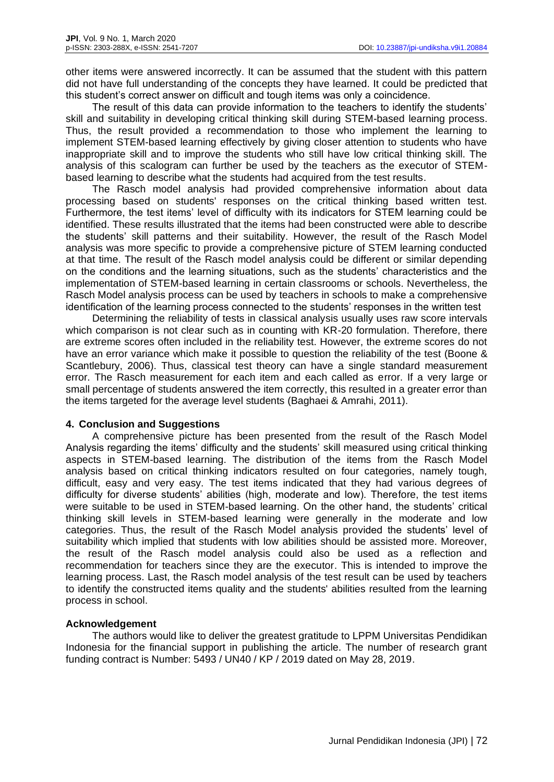other items were answered incorrectly. It can be assumed that the student with this pattern did not have full understanding of the concepts they have learned. It could be predicted that this student's correct answer on difficult and tough items was only a coincidence.

The result of this data can provide information to the teachers to identify the students' skill and suitability in developing critical thinking skill during STEM-based learning process. Thus, the result provided a recommendation to those who implement the learning to implement STEM-based learning effectively by giving closer attention to students who have inappropriate skill and to improve the students who still have low critical thinking skill. The analysis of this scalogram can further be used by the teachers as the executor of STEMbased learning to describe what the students had acquired from the test results.

The Rasch model analysis had provided comprehensive information about data processing based on students' responses on the critical thinking based written test. Furthermore, the test items' level of difficulty with its indicators for STEM learning could be identified. These results illustrated that the items had been constructed were able to describe the students' skill patterns and their suitability. However, the result of the Rasch Model analysis was more specific to provide a comprehensive picture of STEM learning conducted at that time. The result of the Rasch model analysis could be different or similar depending on the conditions and the learning situations, such as the students' characteristics and the implementation of STEM-based learning in certain classrooms or schools. Nevertheless, the Rasch Model analysis process can be used by teachers in schools to make a comprehensive identification of the learning process connected to the students' responses in the written test

Determining the reliability of tests in classical analysis usually uses raw score intervals which comparison is not clear such as in counting with KR-20 formulation. Therefore, there are extreme scores often included in the reliability test. However, the extreme scores do not have an error variance which make it possible to question the reliability of the test (Boone & Scantlebury, 2006). Thus, classical test theory can have a single standard measurement error. The Rasch measurement for each item and each called as error. If a very large or small percentage of students answered the item correctly, this resulted in a greater error than the items targeted for the average level students (Baghaei & Amrahi, 2011).

# **4. Conclusion and Suggestions**

A comprehensive picture has been presented from the result of the Rasch Model Analysis regarding the items' difficulty and the students' skill measured using critical thinking aspects in STEM-based learning. The distribution of the items from the Rasch Model analysis based on critical thinking indicators resulted on four categories, namely tough, difficult, easy and very easy. The test items indicated that they had various degrees of difficulty for diverse students' abilities (high, moderate and low). Therefore, the test items were suitable to be used in STEM-based learning. On the other hand, the students' critical thinking skill levels in STEM-based learning were generally in the moderate and low categories. Thus, the result of the Rasch Model analysis provided the students' level of suitability which implied that students with low abilities should be assisted more. Moreover, the result of the Rasch model analysis could also be used as a reflection and recommendation for teachers since they are the executor. This is intended to improve the learning process. Last, the Rasch model analysis of the test result can be used by teachers to identify the constructed items quality and the students' abilities resulted from the learning process in school.

## **Acknowledgement**

The authors would like to deliver the greatest gratitude to LPPM Universitas Pendidikan Indonesia for the financial support in publishing the article. The number of research grant funding contract is Number: 5493 / UN40 / KP / 2019 dated on May 28, 2019.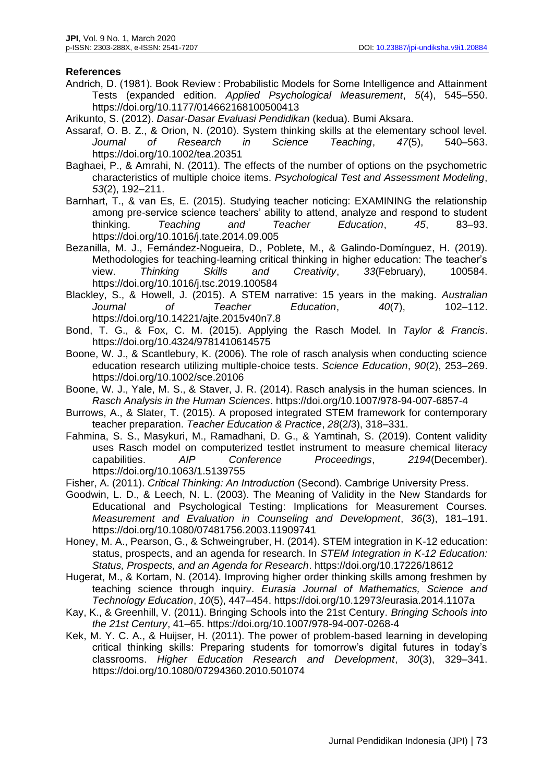## **References**

- Andrich, D. (1981). Book Review : Probabilistic Models for Some Intelligence and Attainment Tests (expanded edition. *Applied Psychological Measurement*, *5*(4), 545–550. https://doi.org/10.1177/014662168100500413
- Arikunto, S. (2012). *Dasar-Dasar Evaluasi Pendidikan* (kedua). Bumi Aksara.
- Assaraf, O. B. Z., & Orion, N. (2010). System thinking skills at the elementary school level. *Journal of Research in Science Teaching*, *47*(5), 540–563. https://doi.org/10.1002/tea.20351
- Baghaei, P., & Amrahi, N. (2011). The effects of the number of options on the psychometric characteristics of multiple choice items. *Psychological Test and Assessment Modeling*, *53*(2), 192–211.
- Barnhart, T., & van Es, E. (2015). Studying teacher noticing: EXAMINING the relationship among pre-service science teachers' ability to attend, analyze and respond to student thinking. *Teaching and Teacher Education*, *45*, 83–93. https://doi.org/10.1016/j.tate.2014.09.005
- Bezanilla, M. J., Fernández-Nogueira, D., Poblete, M., & Galindo-Domínguez, H. (2019). Methodologies for teaching-learning critical thinking in higher education: The teacher's view. *Thinking Skills and Creativity*, *33*(February), 100584. https://doi.org/10.1016/j.tsc.2019.100584
- Blackley, S., & Howell, J. (2015). A STEM narrative: 15 years in the making. *Australian Journal of Teacher Education*, *40*(7), 102–112. https://doi.org/10.14221/ajte.2015v40n7.8
- Bond, T. G., & Fox, C. M. (2015). Applying the Rasch Model. In *Taylor & Francis*. https://doi.org/10.4324/9781410614575
- Boone, W. J., & Scantlebury, K. (2006). The role of rasch analysis when conducting science education research utilizing multiple-choice tests. *Science Education*, *90*(2), 253–269. https://doi.org/10.1002/sce.20106
- Boone, W. J., Yale, M. S., & Staver, J. R. (2014). Rasch analysis in the human sciences. In *Rasch Analysis in the Human Sciences*. https://doi.org/10.1007/978-94-007-6857-4
- Burrows, A., & Slater, T. (2015). A proposed integrated STEM framework for contemporary teacher preparation. *Teacher Education & Practice*, *28*(2/3), 318–331.
- Fahmina, S. S., Masykuri, M., Ramadhani, D. G., & Yamtinah, S. (2019). Content validity uses Rasch model on computerized testlet instrument to measure chemical literacy capabilities. *AIP Conference Proceedings*, *2194*(December). https://doi.org/10.1063/1.5139755
- Fisher, A. (2011). *Critical Thinking: An Introduction* (Second). Cambrige University Press.
- Goodwin, L. D., & Leech, N. L. (2003). The Meaning of Validity in the New Standards for Educational and Psychological Testing: Implications for Measurement Courses. *Measurement and Evaluation in Counseling and Development*, *36*(3), 181–191. https://doi.org/10.1080/07481756.2003.11909741
- Honey, M. A., Pearson, G., & Schweingruber, H. (2014). STEM integration in K-12 education: status, prospects, and an agenda for research. In *STEM Integration in K-12 Education: Status, Prospects, and an Agenda for Research*. https://doi.org/10.17226/18612
- Hugerat, M., & Kortam, N. (2014). Improving higher order thinking skills among freshmen by teaching science through inquiry. *Eurasia Journal of Mathematics, Science and Technology Education*, *10*(5), 447–454. https://doi.org/10.12973/eurasia.2014.1107a
- Kay, K., & Greenhill, V. (2011). Bringing Schools into the 21st Century. *Bringing Schools into the 21st Century*, 41–65. https://doi.org/10.1007/978-94-007-0268-4
- Kek, M. Y. C. A., & Huijser, H. (2011). The power of problem-based learning in developing critical thinking skills: Preparing students for tomorrow's digital futures in today's classrooms. *Higher Education Research and Development*, *30*(3), 329–341. https://doi.org/10.1080/07294360.2010.501074